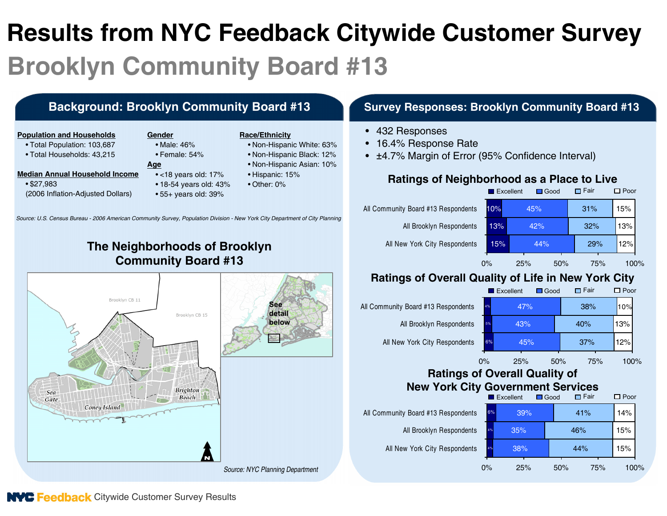# **Results from NYC Feedback Citywide Customer Survey Brooklyn Community Board #13**

#### **Background: Brooklyn Community Board #13 Survey Responses: Brooklyn Community Board #13**

#### **Population and Households**

- Total Population: 103,687
- Total Households: 43,215

- **Median Annual Household Income**
	- \$27,983 (2006 Inflation-Adjusted Dollars)
- **Gender**• Male: 46%
	- Female: 54%
	- **Age**
		- <18 years old: 17%
		- 18-54 years old: 43%
		- 55+ years old: 39%

#### **Race/Ethnicity**

- Non-Hispanic White: 63%
- Non-Hispanic Black: 12%
- Non-Hispanic Asian: 10%
- Hispanic: 15%
- Other: 0%

• 432 Responses

- 16.4% Response Rate
- <sup>±</sup>4.7% Margin of Error (95% Confidence Interval)

#### **Ratings of Neighborhood as a Place to Live**



## **Ratings of Overall Quality of Life in New York City**



#### **Ratings of Overall Quality of New York City Government Services**

| <b>INGW TUIN CITY GOVERING THE SETVICES</b> |       |                          |             |             |                |  |  |  |  |  |
|---------------------------------------------|-------|--------------------------|-------------|-------------|----------------|--|--|--|--|--|
|                                             |       | $\blacksquare$ Excellent | $\Box$ Good | $\Box$ Fair | $\square$ Poor |  |  |  |  |  |
| All Community Board #13 Respondents         | 6%    | 39%                      |             | 41%         | 14%            |  |  |  |  |  |
| All Brooklyn Respondents                    | 4%    | 35%                      | 46%         |             | 15%            |  |  |  |  |  |
| All New York City Respondents               | 4%    | 38%                      | 44%         |             | 15%            |  |  |  |  |  |
|                                             | $0\%$ | 25%                      | 50%         | 75%         | 100%           |  |  |  |  |  |

## **The Neighborhoods of Brooklyn Community Board #13**

*Source: U.S. Census Bureau - 2006 American Community Survey, Population Division - New York City Department of City Planning*



**NYC Feedback** Citywide Customer Survey Results